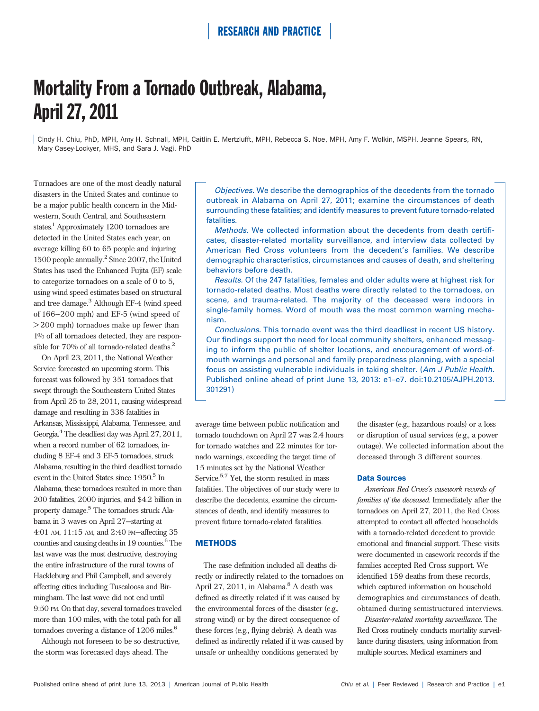# Mortality From a Tornado Outbreak, Alabama, April 27, 2011

Cindy H. Chiu, PhD, MPH, Amy H. Schnall, MPH, Caitlin E. Mertzlufft, MPH, Rebecca S. Noe, MPH, Amy F. Wolkin, MSPH, Jeanne Spears, RN, Mary Casey-Lockyer, MHS, and Sara J. Vagi, PhD

Tornadoes are one of the most deadly natural disasters in the United States and continue to be a major public health concern in the Midwestern, South Central, and Southeastern states.<sup>1</sup> Approximately 1200 tornadoes are detected in the United States each year, on average killing 60 to 65 people and injuring 1500 people annually.<sup>2</sup> Since 2007, the United States has used the Enhanced Fujita (EF) scale to categorize tornadoes on a scale of 0 to 5, using wind speed estimates based on structural and tree damage.<sup>3</sup> Although EF-4 (wind speed of  $166-200$  mph) and EF-5 (wind speed of > 200 mph) tornadoes make up fewer than 1% of all tornadoes detected, they are responsible for 70% of all tornado-related deaths.<sup>2</sup>

On April 23, 2011, the National Weather Service forecasted an upcoming storm. This forecast was followed by 351 tornadoes that swept through the Southeastern United States from April 25 to 28, 2011, causing widespread damage and resulting in 338 fatalities in Arkansas, Mississippi, Alabama, Tennessee, and Georgia.4 The deadliest day was April 27, 2011, when a record number of 62 tornadoes, including 8 EF-4 and 3 EF-5 tornadoes, struck Alabama, resulting in the third deadliest tornado event in the United States since  $1950<sup>5</sup>$  In Alabama, these tornadoes resulted in more than 200 fatalities, 2000 injuries, and \$4.2 billion in property damage.5 The tornadoes struck Alabama in 3 waves on April 27—starting at 4:01 AM, 11:15 AM, and 2:40 PM—affecting 35 counties and causing deaths in 19 counties.<sup>6</sup> The last wave was the most destructive, destroying the entire infrastructure of the rural towns of Hackleburg and Phil Campbell, and severely affecting cities including Tuscaloosa and Birmingham. The last wave did not end until 9:50 PM. On that day, several tornadoes traveled more than 100 miles, with the total path for all tornadoes covering a distance of  $1206$  miles.<sup>6</sup>

Although not foreseen to be so destructive, the storm was forecasted days ahead. The

Objectives. We describe the demographics of the decedents from the tornado outbreak in Alabama on April 27, 2011; examine the circumstances of death surrounding these fatalities; and identify measures to prevent future tornado-related fatalities.

Methods. We collected information about the decedents from death certificates, disaster-related mortality surveillance, and interview data collected by American Red Cross volunteers from the decedent's families. We describe demographic characteristics, circumstances and causes of death, and sheltering behaviors before death.

Results. Of the 247 fatalities, females and older adults were at highest risk for tornado-related deaths. Most deaths were directly related to the tornadoes, on scene, and trauma-related. The majority of the deceased were indoors in single-family homes. Word of mouth was the most common warning mechanism.

Conclusions. This tornado event was the third deadliest in recent US history. Our findings support the need for local community shelters, enhanced messaging to inform the public of shelter locations, and encouragement of word-ofmouth warnings and personal and family preparedness planning, with a special focus on assisting vulnerable individuals in taking shelter. (Am J Public Health. Published online ahead of print June 13, 2013: e1–e7. doi:10.2105/AJPH.2013. 301291)

average time between public notification and tornado touchdown on April 27 was 2.4 hours for tornado watches and 22 minutes for tornado warnings, exceeding the target time of 15 minutes set by the National Weather Service.<sup>5,7</sup> Yet, the storm resulted in mass fatalities. The objectives of our study were to describe the decedents, examine the circumstances of death, and identify measures to prevent future tornado-related fatalities.

### **METHODS**

The case definition included all deaths directly or indirectly related to the tornadoes on April 27, 2011, in Alabama.<sup>8</sup> A death was defined as directly related if it was caused by the environmental forces of the disaster (e.g., strong wind) or by the direct consequence of these forces (e.g., flying debris). A death was defined as indirectly related if it was caused by unsafe or unhealthy conditions generated by

the disaster (e.g., hazardous roads) or a loss or disruption of usual services (e.g., a power outage). We collected information about the deceased through 3 different sources.

### Data Sources

American Red Cross's casework records of families of the deceased. Immediately after the tornadoes on April 27, 2011, the Red Cross attempted to contact all affected households with a tornado-related decedent to provide emotional and financial support. These visits were documented in casework records if the families accepted Red Cross support. We identified 159 deaths from these records, which captured information on household demographics and circumstances of death, obtained during semistructured interviews.

Disaster-related mortality surveillance. The Red Cross routinely conducts mortality surveillance during disasters, using information from multiple sources. Medical examiners and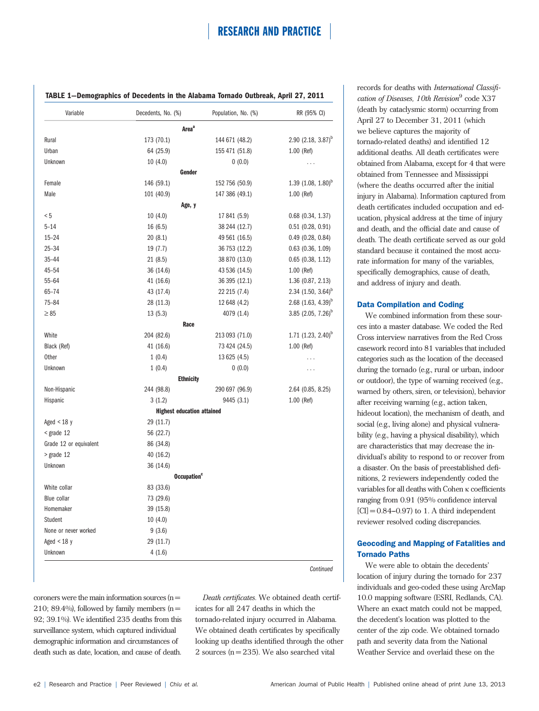| Variable               | Decedents, No. (%)                | Population, No. (%) | RR (95% CI)                         |
|------------------------|-----------------------------------|---------------------|-------------------------------------|
|                        | Area <sup>a</sup>                 |                     |                                     |
| Rural                  | 173 (70.1)                        | 144 671 (48.2)      | $2.90$ (2.18, 3.87) <sup>b</sup>    |
| Urban                  | 64 (25.9)                         | 155 471 (51.8)      | 1.00 (Ref)                          |
| Unknown                | 10(4.0)                           | 0(0.0)              | .                                   |
|                        | Gender                            |                     |                                     |
| Female                 | 146 (59.1)                        | 152 756 (50.9)      | $1.39$ (1.08, $1.80$ ) <sup>b</sup> |
| Male                   | 101 (40.9)                        | 147 386 (49.1)      | 1.00 (Ref)                          |
|                        | Age, y                            |                     |                                     |
| < 5                    | 10(4.0)                           | 17 841 (5.9)        | $0.68$ (0.34, 1.37)                 |
| $5 - 14$               | 16(6.5)                           | 38 244 (12.7)       | $0.51$ (0.28, 0.91)                 |
| $15 - 24$              | 20(8.1)                           | 49 561 (16.5)       | $0.49$ (0.28, 0.84)                 |
| $25 - 34$              | 19 (7.7)                          | 36 753 (12.2)       | $0.63$ (0.36, 1.09)                 |
| $35 - 44$              | 21(8.5)                           | 38 870 (13.0)       | $0.65$ $(0.38, 1.12)$               |
| 45-54                  | 36 (14.6)                         | 43 536 (14.5)       | 1.00 (Ref)                          |
| $55 - 64$              | 41 (16.6)                         | 36 395 (12.1)       | 1.36 (0.87, 2.13)                   |
| 65-74                  | 43 (17.4)                         | 22 215 (7.4)        | 2.34 $(1.50, 3.64)^{b}$             |
| $75 - 84$              | 28 (11.3)                         | 12 648 (4.2)        | $2.68$ (1.63, 4.39) <sup>b</sup>    |
| $\geq 85$              | 13(5.3)                           | 4079 (1.4)          | 3.85 $(2.05, 7.26)^b$               |
|                        | Race                              |                     |                                     |
| White                  | 204 (82.6)                        | 213 093 (71.0)      | 1.71 $(1.23, 2.40)^b$               |
| Black (Ref)            | 41 (16.6)                         | 73 424 (24.5)       | 1.00 (Ref)                          |
| <b>Other</b>           | 1(0.4)                            | 13 625 (4.5)        | .                                   |
| Unknown                | 1(0.4)                            | 0(0.0)              | .                                   |
|                        | <b>Ethnicity</b>                  |                     |                                     |
| Non-Hispanic           | 244 (98.8)                        | 290 697 (96.9)      | 2.64 (0.85, 8.25)                   |
| Hispanic               | 3(1.2)                            | 9445 (3.1)          | 1.00 (Ref)                          |
|                        | <b>Highest education attained</b> |                     |                                     |
| Aged $<$ 18 y          | 29 (11.7)                         |                     |                                     |
| $<$ grade 12           | 56 (22.7)                         |                     |                                     |
| Grade 12 or equivalent | 86 (34.8)                         |                     |                                     |
| > grade 12             | 40 (16.2)                         |                     |                                     |
| Unknown                | 36 (14.6)                         |                     |                                     |
|                        | <b>Occupation</b> <sup>c</sup>    |                     |                                     |
| White collar           | 83 (33.6)                         |                     |                                     |
| <b>Blue collar</b>     | 73 (29.6)                         |                     |                                     |
| Homemaker              | 39 (15.8)                         |                     |                                     |
| Student                | 10(4.0)                           |                     |                                     |
| None or never worked   | 9(3.6)                            |                     |                                     |
| Aged $<$ 18 y          | 29 (11.7)                         |                     |                                     |
| Unknown                | 4(1.6)                            |                     |                                     |

**Continued** 

coroners were the main information sources  $(n =$ 210; 89.4%), followed by family members ( $n =$ 92; 39.1%). We identified 235 deaths from this surveillance system, which captured individual demographic information and circumstances of death such as date, location, and cause of death.

Death certificates. We obtained death certificates for all 247 deaths in which the tornado-related injury occurred in Alabama. We obtained death certificates by specifically looking up deaths identified through the other 2 sources ( $n = 235$ ). We also searched vital

records for deaths with International Classification of Diseases, 10th Revision<sup>9</sup> code X37 (death by cataclysmic storm) occurring from April 27 to December 31, 2011 (which we believe captures the majority of tornado-related deaths) and identified 12 additional deaths. All death certificates were obtained from Alabama, except for 4 that were obtained from Tennessee and Mississippi (where the deaths occurred after the initial injury in Alabama). Information captured from death certificates included occupation and education, physical address at the time of injury and death, and the official date and cause of death. The death certificate served as our gold standard because it contained the most accurate information for many of the variables, specifically demographics, cause of death, and address of injury and death.

### Data Compilation and Coding

We combined information from these sources into a master database. We coded the Red Cross interview narratives from the Red Cross casework record into 81 variables that included categories such as the location of the deceased during the tornado (e.g., rural or urban, indoor or outdoor), the type of warning received (e.g., warned by others, siren, or television), behavior after receiving warning (e.g., action taken, hideout location), the mechanism of death, and social (e.g., living alone) and physical vulnerability (e.g., having a physical disability), which are characteristics that may decrease the individual's ability to respond to or recover from a disaster. On the basis of preestablished definitions, 2 reviewers independently coded the variables for all deaths with Cohen  $\kappa$  coefficients ranging from 0.91 (95% confidence interval  $[CI] = 0.84 - 0.97$  to 1. A third independent reviewer resolved coding discrepancies.

### Geocoding and Mapping of Fatalities and Tornado Paths

We were able to obtain the decedents' location of injury during the tornado for 237 individuals and geo-coded these using ArcMap 10.0 mapping software (ESRI, Redlands, CA). Where an exact match could not be mapped, the decedent's location was plotted to the center of the zip code. We obtained tornado path and severity data from the National Weather Service and overlaid these on the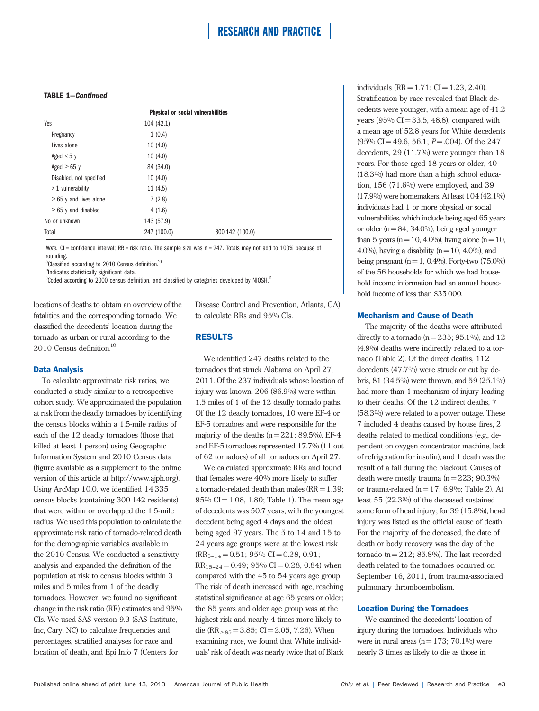### TABLE 1—Continued

|                             | <b>Physical or social vulnerabilities</b> |                 |  |
|-----------------------------|-------------------------------------------|-----------------|--|
| Yes                         | 104 (42.1)                                |                 |  |
| Pregnancy                   | 1(0.4)                                    |                 |  |
| Lives alone                 | 10(4.0)                                   |                 |  |
| Aged $<$ 5 y                | 10(4.0)                                   |                 |  |
| Aged $\geq 65$ y            | 84 (34.0)                                 |                 |  |
| Disabled, not specified     | 10(4.0)                                   |                 |  |
| $>1$ vulnerability          | 11(4.5)                                   |                 |  |
| $\geq 65$ y and lives alone | 7(2.8)                                    |                 |  |
| $\geq$ 65 y and disabled    | 4(1.6)                                    |                 |  |
| No or unknown               | 143 (57.9)                                |                 |  |
| Total                       | 247 (100.0)                               | 300 142 (100.0) |  |

Note. CI = confidence interval; RR = risk ratio. The sample size was  $n = 247$ . Totals may not add to 100% because of rounding.

<sup>a</sup>Classified according to 2010 Census definition.<sup>10</sup>

**b**Indicates statistically significant data.

 $\mathrm{^c}$ Coded according to 2000 census definition, and classified by categories developed by NIOSH. $\mathrm{^{11}}$ 

locations of deaths to obtain an overview of the fatalities and the corresponding tornado. We classified the decedents' location during the tornado as urban or rural according to the 2010 Census definition.10

#### Data Analysis

To calculate approximate risk ratios, we conducted a study similar to a retrospective cohort study. We approximated the population at risk from the deadly tornadoes by identifying the census blocks within a 1.5-mile radius of each of the 12 deadly tornadoes (those that killed at least 1 person) using Geographic Information System and 2010 Census data (figure available as a supplement to the online version of this article at<http://www.ajph.org>). Using ArcMap 10.0, we identified 14 335 census blocks (containing 300 142 residents) that were within or overlapped the 1.5-mile radius. We used this population to calculate the approximate risk ratio of tornado-related death for the demographic variables available in the 2010 Census. We conducted a sensitivity analysis and expanded the definition of the population at risk to census blocks within 3 miles and 5 miles from 1 of the deadly tornadoes. However, we found no significant change in the risk ratio (RR) estimates and 95% CIs. We used SAS version 9.3 (SAS Institute, Inc, Cary, NC) to calculate frequencies and percentages, stratified analyses for race and location of death, and Epi Info 7 (Centers for

Disease Control and Prevention, Atlanta, GA) to calculate RRs and 95% CIs.

### RESULTS

We identified 247 deaths related to the tornadoes that struck Alabama on April 27, 2011. Of the 237 individuals whose location of injury was known, 206 (86.9%) were within 1.5 miles of 1 of the 12 deadly tornado paths. Of the 12 deadly tornadoes, 10 were EF-4 or EF-5 tornadoes and were responsible for the majority of the deaths  $(n = 221; 89.5\%)$ . EF-4 and EF-5 tornadoes represented 17.7% (11 out of 62 tornadoes) of all tornadoes on April 27.

We calculated approximate RRs and found that females were 40% more likely to suffer a tornado-related death than males  $(RR = 1.39)$ ;  $95\%$  CI = 1.08, 1.80; Table 1). The mean age of decedents was 50.7 years, with the youngest decedent being aged 4 days and the oldest being aged 97 years. The 5 to 14 and 15 to 24 years age groups were at the lowest risk  $(RR_{5-14} = 0.51; 95\% CI = 0.28, 0.91;$  $RR_{15-24} = 0.49$ ; 95% CI = 0.28, 0.84) when compared with the 45 to 54 years age group. The risk of death increased with age, reaching statistical significance at age 65 years or older; the 85 years and older age group was at the highest risk and nearly 4 times more likely to die (RR  $> 85 = 3.85$ ; CI = 2.05, 7.26). When examining race, we found that White individuals' risk of death was nearly twice that of Black

individuals  $(RR = 1.71; CI = 1.23, 2.40)$ . Stratification by race revealed that Black decedents were younger, with a mean age of 41.2 years  $(95\% \text{ CI} = 33.5, 48.8)$ , compared with a mean age of 52.8 years for White decedents  $(95\% \text{ CI} = 49.6, 56.1; P = .004)$ . Of the 247 decedents, 29 (11.7%) were younger than 18 years. For those aged 18 years or older, 40 (18.3%) had more than a high school education, 156 (71.6%) were employed, and 39 (17.9%) were homemakers. At least 104 (42.1%) individuals had 1 or more physical or social vulnerabilities, which include being aged 65 years or older  $(n = 84, 34.0\%)$ , being aged younger than 5 years ( $n = 10, 4.0\%$ ), living alone ( $n = 10$ , 4.0%), having a disability ( $n = 10$ , 4.0%), and being pregnant  $(n = 1, 0.4\%)$ . Forty-two  $(75.0\%)$ of the 56 households for which we had household income information had an annual household income of less than \$35 000.

#### Mechanism and Cause of Death

The majority of the deaths were attributed directly to a tornado ( $n = 235$ ; 95.1%), and 12 (4.9%) deaths were indirectly related to a tornado (Table 2). Of the direct deaths, 112 decedents (47.7%) were struck or cut by debris, 81 (34.5%) were thrown, and 59 (25.1%) had more than 1 mechanism of injury leading to their deaths. Of the 12 indirect deaths, 7 (58.3%) were related to a power outage. These 7 included 4 deaths caused by house fires, 2 deaths related to medical conditions (e.g., dependent on oxygen concentrator machine, lack of refrigeration for insulin), and 1 death was the result of a fall during the blackout. Causes of death were mostly trauma  $(n = 223; 90.3\%)$ or trauma-related  $(n = 17; 6.9\%;$  Table 2). At least 55 (22.3%) of the deceased sustained some form of head injury; for 39 (15.8%), head injury was listed as the official cause of death. For the majority of the deceased, the date of death or body recovery was the day of the tornado  $(n = 212; 85.8\%)$ . The last recorded death related to the tornadoes occurred on September 16, 2011, from trauma-associated pulmonary thromboembolism.

### Location During the Tornadoes

We examined the decedents' location of injury during the tornadoes. Individuals who were in rural areas  $(n = 173; 70.1\%)$  were nearly 3 times as likely to die as those in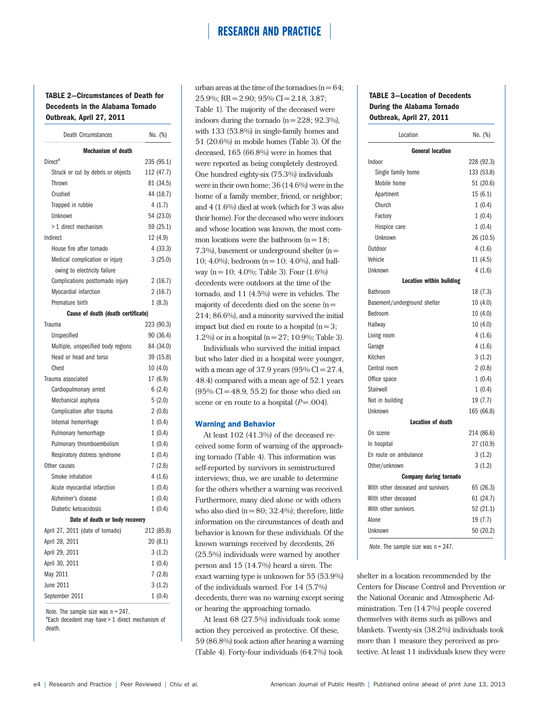### TABLE 2—Circumstances of Death for Decedents in the Alabama Tornado Outbreak, April 27, 2011

| <b>Death Circumstances</b>         | No. (%)    |
|------------------------------------|------------|
| <b>Mechanism of death</b>          |            |
| Direct <sup>a</sup>                | 235 (95.1) |
| Struck or cut by debris or objects | 112 (47.7) |
| Thrown                             | 81 (34.5)  |
| Crushed                            | 44 (18.7)  |
| Trapped in rubble                  | 4(1.7)     |
| Unknown                            | 54 (23.0)  |
| > 1 direct mechanism               | 59 (25.1)  |
| Indirect                           | 12 (4.9)   |
| House fire after tornado           | 4(33.3)    |
| Medical complication or injury     | 3(25.0)    |
| owing to electricity failure       |            |
| Complications posttornado injury   | 2(16.7)    |
| Myocardial infarction              | 2(16.7)    |
| Premature birth                    | 1(8.3)     |
| Cause of death (death certificate) |            |
| Trauma                             | 223 (90.3) |
| Unspecified                        | 90 (36.4)  |
| Multiple, unspecified body regions | 84 (34.0)  |
| Head or head and torso             | 39 (15.8)  |
| Chest                              | 10(4.0)    |
| Trauma associated                  | 17 (6.9)   |
| Cardiopulmonary arrest             | 6(2.4)     |
| Mechanical asphyxia                | 5(2.0)     |
| Complication after trauma          | 2(0.8)     |
| Internal hemorrhage                | 1(0.4)     |
| Pulmonary hemorrhage               | 1(0.4)     |
| Pulmonary thromboembolism          | 1(0.4)     |
| Respiratory distress syndrome      | 1(0.4)     |
| Other causes                       | 7(2.8)     |
| Smoke inhalation                   | 4(1.6)     |
| Acute myocardial infarction        | 1(0.4)     |
| Alzheimer's disease                | 1(0.4)     |
| Diabetic ketoacidosis              | 1(0.4)     |
| Date of death or body recovery     |            |
| April 27, 2011 (date of tornado)   | 212 (85.8) |
| April 28, 2011                     | 20(8.1)    |
| April 29, 2011                     | 3(1.2)     |
| April 30, 2011                     | 1(0.4)     |
| May 2011                           | 7(2.8)     |
| June 2011                          | 3(1.2)     |
| September 2011                     | 1(0.4)     |

Note. The sample size was  $n = 247$ .

 $a$ Each decedent may have  $> 1$  direct mechanism of death.

urban areas at the time of the tornadoes  $(n = 64)$ ; 25.9%; RR = 2.90; 95% CI = 2.18, 3.87; Table 1). The majority of the deceased were indoors during the tornado  $(n = 228; 92.3\%)$ , with 133 (53.8%) in single-family homes and 51 (20.6%) in mobile homes (Table 3). Of the deceased, 165 (66.8%) were in homes that were reported as being completely destroyed. One hundred eighty-six (75.3%) individuals were in their own home; 36 (14.6%) were in the home of a family member, friend, or neighbor; and 4 (1.6%) died at work (which for 3 was also their home). For the deceased who were indoors and whose location was known, the most common locations were the bathroom  $(n = 18)$ ; 7.3%), basement or underground shelter  $(n =$ 10; 4.0%), bedroom  $(n = 10; 4.0\%)$ , and hallway (n = 10; 4.0%; Table 3). Four  $(1.6\%)$ decedents were outdoors at the time of the tornado, and 11 (4.5%) were in vehicles. The majority of decedents died on the scene  $(n =$ 214; 86.6%), and a minority survived the initial impact but died en route to a hospital  $(n=3)$ ; 1.2%) or in a hospital ( $n = 27$ ; 10.9%; Table 3).

Individuals who survived the initial impact but who later died in a hospital were younger, with a mean age of 37.9 years  $(95\%$  CI = 27.4, 48.4) compared with a mean age of 52.1 years  $(95\% CI = 48.9, 55.2)$  for those who died on scene or en route to a hospital  $(P = .004)$ .

### Warning and Behavior

At least 102 (41.3%) of the deceased received some form of warning of the approaching tornado (Table 4). This information was self-reported by survivors in semistructured interviews; thus, we are unable to determine for the others whether a warning was received. Furthermore, many died alone or with others who also died  $(n = 80; 32.4\%)$ ; therefore, little information on the circumstances of death and behavior is known for these individuals. Of the known warnings received by decedents, 26 (25.5%) individuals were warned by another person and 15 (14.7%) heard a siren. The exact warning type is unknown for 55 (53.9%) of the individuals warned. For 14 (5.7%) decedents, there was no warning except seeing or hearing the approaching tornado.

At least 68 (27.5%) individuals took some action they perceived as protective. Of these, 59 (86.8%) took action after hearing a warning (Table 4). Forty-four individuals (64.7%) took

### TABLE 3—Location of Decedents During the Alabama Tornado Outbreak, April 27, 2011

| Location                          | No. (%)    |  |  |
|-----------------------------------|------------|--|--|
| <b>General location</b>           |            |  |  |
| Indoor                            | 228 (92.3) |  |  |
| Single family home                | 133 (53.8) |  |  |
| Mobile home                       | 51 (20.6)  |  |  |
| Apartment                         | 15(6.1)    |  |  |
| Church                            | 1(0.4)     |  |  |
| Factory                           | 1(0.4)     |  |  |
| Hospice care                      | 1(0.4)     |  |  |
| Unknown                           | 26 (10.5)  |  |  |
| Outdoor                           | 4(1.6)     |  |  |
| Vehicle                           | 11(4.5)    |  |  |
| Unknown                           | 4(1.6)     |  |  |
| <b>Location within building</b>   |            |  |  |
| Bathroom                          | 18 (7.3)   |  |  |
| Basement/underground shelter      | 10(4.0)    |  |  |
| Bedroom                           | 10(4.0)    |  |  |
| Hallway                           | 10(4.0)    |  |  |
| Living room                       | 4(1.6)     |  |  |
| Garage                            | 4(1.6)     |  |  |
| Kitchen                           | 3(1.2)     |  |  |
| Central room                      | 2(0.8)     |  |  |
| Office space                      | 1(0.4)     |  |  |
| Stairwell                         | 1(0.4)     |  |  |
| Not in building                   | 19 (7.7)   |  |  |
| Unknown                           | 165 (66.8) |  |  |
| <b>Location of death</b>          |            |  |  |
| On scene                          | 214 (86.6) |  |  |
| In hospital                       | 27 (10.9)  |  |  |
| En route on ambulance             | 3(1.2)     |  |  |
| Other/unknown                     | 3(1.2)     |  |  |
| <b>Company during tornado</b>     |            |  |  |
| With other deceased and survivors | 65 (26.3)  |  |  |
| With other deceased               | 61 (24.7)  |  |  |
| With other survivors              | 52 (21.1)  |  |  |
| Alone                             | 19 (7.7)   |  |  |
| Unknown                           | 50 (20.2)  |  |  |

Note. The sample size was n = 247.

shelter in a location recommended by the Centers for Disease Control and Prevention or the National Oceanic and Atmospheric Administration. Ten (14.7%) people covered themselves with items such as pillows and blankets. Twenty-six (38.2%) individuals took more than 1 measure they perceived as protective. At least 11 individuals knew they were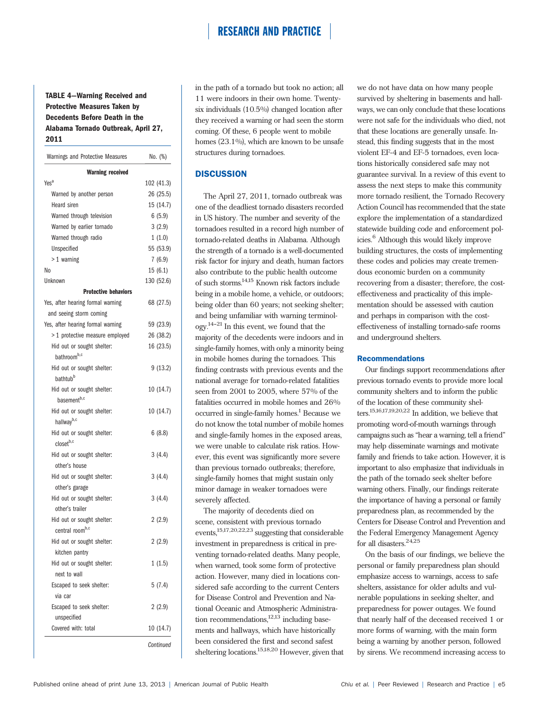## TABLE 4—Warning Received and Protective Measures Taken by Decedents Before Death in the Alabama Tornado Outbreak, April 27, 2011

| Warnings and Protective Measures  | No. (%)    |
|-----------------------------------|------------|
| <b>Warning received</b>           |            |
| Yes <sup>a</sup>                  | 102 (41.3) |
| Warned by another person          | 26 (25.5)  |
| Heard siren                       | 15 (14.7)  |
| Warned through television         | 6(5.9)     |
| Warned by earlier tornado         | 3(2.9)     |
| Warned through radio              | 1(1.0)     |
| Unspecified                       | 55 (53.9)  |
| $>1$ warning                      | 7(6.9)     |
| No                                | 15(6.1)    |
| Unknown                           | 130 (52.6) |
| <b>Protective behaviors</b>       |            |
| Yes, after hearing formal warning | 68 (27.5)  |
| and seeing storm coming           |            |
| Yes, after hearing formal warning | 59 (23.9)  |
| > 1 protective measure employed   | 26 (38.2)  |
| Hid out or sought shelter:        | 16 (23.5)  |
| bathroom <sup>b,c</sup>           |            |
| Hid out or sought shelter:        | 9(13.2)    |
| bathtub <sup>b</sup>              |            |
| Hid out or sought shelter:        | 10 (14.7)  |
| basement <sup>b,c</sup>           |            |
| Hid out or sought shelter:        | 10 (14.7)  |
| hallwayb,c                        |            |
| Hid out or sought shelter:        | 6(8.8)     |
| closetb,c                         |            |
| Hid out or sought shelter:        | 3(4.4)     |
| other's house                     |            |
| Hid out or sought shelter:        | 3(4.4)     |
| other's garage                    |            |
| Hid out or sought shelter:        | 3(4.4)     |
| other's trailer                   |            |
| Hid out or sought shelter:        | 2(2.9)     |
| central room <sup>b,c</sup>       |            |
| Hid out or sought shelter:        | 2(2.9)     |
| kitchen pantry                    |            |
| Hid out or sought shelter:        | 1(1.5)     |
| next to wall                      |            |
| Escaped to seek shelter:          | 5(7.4)     |
| via car                           |            |
| Escaped to seek shelter:          | 2(2.9)     |
| unspecified                       |            |
| Covered with: total               | 10 (14.7)  |
|                                   | Continued  |

in the path of a tornado but took no action; all 11 were indoors in their own home. Twentysix individuals (10.5%) changed location after they received a warning or had seen the storm coming. Of these, 6 people went to mobile homes (23.1%), which are known to be unsafe structures during tornadoes.

### **DISCUSSION**

The April 27, 2011, tornado outbreak was one of the deadliest tornado disasters recorded in US history. The number and severity of the tornadoes resulted in a record high number of tornado-related deaths in Alabama. Although the strength of a tornado is a well-documented risk factor for injury and death, human factors also contribute to the public health outcome of such storms.14,15 Known risk factors include being in a mobile home, a vehicle, or outdoors; being older than 60 years; not seeking shelter; and being unfamiliar with warning terminol $q$ <sub>0</sub> $q$ <sup>14-21</sup> In this event, we found that the majority of the decedents were indoors and in single-family homes, with only a minority being in mobile homes during the tornadoes. This finding contrasts with previous events and the national average for tornado-related fatalities seen from 2001 to 2005, where 57% of the fatalities occurred in mobile homes and 26% occurred in single-family homes.<sup>1</sup> Because we do not know the total number of mobile homes and single-family homes in the exposed areas, we were unable to calculate risk ratios. However, this event was significantly more severe than previous tornado outbreaks; therefore, single-family homes that might sustain only minor damage in weaker tornadoes were severely affected.

The majority of decedents died on scene, consistent with previous tornado events,15,17,20,22,23 suggesting that considerable investment in preparedness is critical in preventing tornado-related deaths. Many people, when warned, took some form of protective action. However, many died in locations considered safe according to the current Centers for Disease Control and Prevention and National Oceanic and Atmospheric Administration recommendations, $12,13$  including basements and hallways, which have historically been considered the first and second safest sheltering locations.15,18,20 However, given that we do not have data on how many people survived by sheltering in basements and hallways, we can only conclude that these locations were not safe for the individuals who died, not that these locations are generally unsafe. Instead, this finding suggests that in the most violent EF-4 and EF-5 tornadoes, even locations historically considered safe may not guarantee survival. In a review of this event to assess the next steps to make this community more tornado resilient, the Tornado Recovery Action Council has recommended that the state explore the implementation of a standardized statewide building code and enforcement policies.<sup>6</sup> Although this would likely improve building structures, the costs of implementing these codes and policies may create tremendous economic burden on a community recovering from a disaster; therefore, the costeffectiveness and practicality of this implementation should be assessed with caution and perhaps in comparison with the costeffectiveness of installing tornado-safe rooms and underground shelters.

### Recommendations

Our findings support recommendations after previous tornado events to provide more local community shelters and to inform the public of the location of these community shelters.15,16,17,19,20,22 In addition, we believe that promoting word-of-mouth warnings through campaigns such as "hear a warning, tell a friend" may help disseminate warnings and motivate family and friends to take action. However, it is important to also emphasize that individuals in the path of the tornado seek shelter before warning others. Finally, our findings reiterate the importance of having a personal or family preparedness plan, as recommended by the Centers for Disease Control and Prevention and the Federal Emergency Management Agency for all disasters.<sup>24,25</sup>

On the basis of our findings, we believe the personal or family preparedness plan should emphasize access to warnings, access to safe shelters, assistance for older adults and vulnerable populations in seeking shelter, and preparedness for power outages. We found that nearly half of the deceased received 1 or more forms of warning, with the main form being a warning by another person, followed by sirens. We recommend increasing access to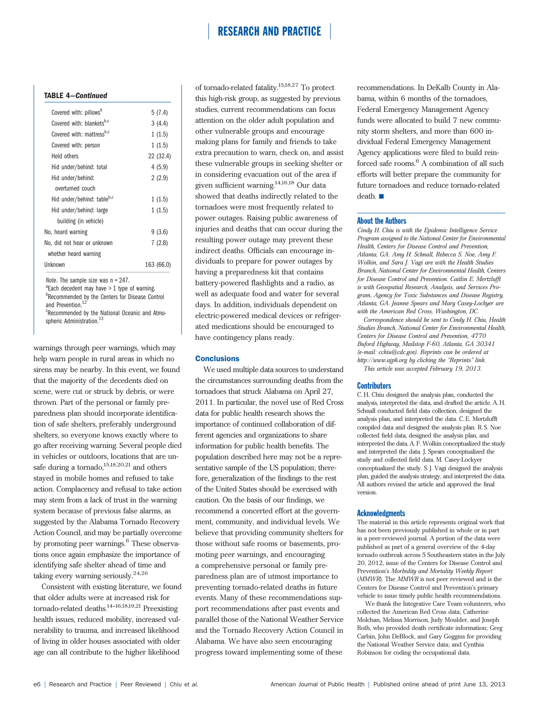### TABLE 4—Continued

| Covered with: pillows <sup>b</sup> | 5(7.4)     |
|------------------------------------|------------|
| Covered with: blanketsb,c          | 3(4.4)     |
| Covered with: mattressb,c          | 1(1.5)     |
| Covered with: person               | 1(1.5)     |
| Held others                        | 22 (32.4)  |
| Hid under/behind: total            | 4(5.9)     |
| Hid under/behind:                  | 2(2.9)     |
| overturned couch                   |            |
| Hid under/behind: tableb,c         | 1(1.5)     |
| Hid under/behind: large            | 1(1.5)     |
| building (in vehicle)              |            |
| No, heard warning                  | 9(3.6)     |
| No, did not hear or unknown        | 7(2.8)     |
| whether heard warning              |            |
| Unknown                            | 163 (66.0) |
|                                    |            |

Note. The sample size was  $n = 247$ .

 $a^2$ Each decedent may have  $> 1$  type of warning. **ERecommended by the Centers for Disease Control** 

and Prevention.<sup>12</sup>

<sup>c</sup>Recommended by the National Oceanic and Atmospheric Administration.<sup>13</sup>

warnings through peer warnings, which may help warn people in rural areas in which no sirens may be nearby. In this event, we found that the majority of the decedents died on scene, were cut or struck by debris, or were thrown. Part of the personal or family preparedness plan should incorporate identification of safe shelters, preferably underground shelters, so everyone knows exactly where to go after receiving warning. Several people died in vehicles or outdoors, locations that are unsafe during a tornado, $15,18,20,21$  and others stayed in mobile homes and refused to take action. Complacency and refusal to take action may stem from a lack of trust in the warning system because of previous false alarms, as suggested by the Alabama Tornado Recovery Action Council, and may be partially overcome by promoting peer warnings.<sup>6</sup> These observations once again emphasize the importance of identifying safe shelter ahead of time and taking every warning seriously.24,26

Consistent with existing literature, we found that older adults were at increased risk for tornado-related deaths.<sup>14-16,18,19,21</sup> Preexisting health issues, reduced mobility, increased vulnerability to trauma, and increased likelihood of living in older houses associated with older age can all contribute to the higher likelihood

of tornado-related fatality.15,18,27 To protect this high-risk group, as suggested by previous studies, current recommendations can focus attention on the older adult population and other vulnerable groups and encourage making plans for family and friends to take extra precaution to warn, check on, and assist these vulnerable groups in seeking shelter or in considering evacuation out of the area if given sufficient warning.14,16,18 Our data showed that deaths indirectly related to the tornadoes were most frequently related to power outages. Raising public awareness of injuries and deaths that can occur during the resulting power outage may prevent these indirect deaths. Officials can encourage individuals to prepare for power outages by having a preparedness kit that contains battery-powered flashlights and a radio, as well as adequate food and water for several days. In addition, individuals dependent on electric-powered medical devices or refrigerated medications should be encouraged to have contingency plans ready.

### **Conclusions**

We used multiple data sources to understand the circumstances surrounding deaths from the tornadoes that struck Alabama on April 27, 2011. In particular, the novel use of Red Cross data for public health research shows the importance of continued collaboration of different agencies and organizations to share information for public health benefits. The population described here may not be a representative sample of the US population; therefore, generalization of the findings to the rest of the United States should be exercised with caution. On the basis of our findings, we recommend a concerted effort at the government, community, and individual levels. We believe that providing community shelters for those without safe rooms or basements, promoting peer warnings, and encouraging a comprehensive personal or family preparedness plan are of utmost importance to preventing tornado-related deaths in future events. Many of these recommendations support recommendations after past events and parallel those of the National Weather Service and the Tornado Recovery Action Council in Alabama. We have also seen encouraging progress toward implementing some of these

recommendations. In DeKalb County in Alabama, within 6 months of the tornadoes, Federal Emergency Management Agency funds were allocated to build 7 new community storm shelters, and more than 600 individual Federal Emergency Management Agency applications were filed to build reinforced safe rooms.<sup>6</sup> A combination of all such efforts will better prepare the community for future tornadoes and reduce tornado-related  $death.$  $\blacksquare$ 

### About the Authors

Cindy H. Chiu is with the Epidemic Intelligence Service Program assigned to the National Center for Environmental Health, Centers for Disease Control and Prevention, Atlanta, GA. Amy H. Schnall, Rebecca S. Noe, Amy F. Wolkin, and Sara J. Vagi are with the Health Studies Branch, National Center for Environmental Health, Centers for Disease Control and Prevention. Caitlin E. Mertzlufft is with Geospatial Research, Analysis, and Services Program, Agency for Toxic Substances and Disease Registry, Atlanta, GA. Jeanne Spears and Mary Casey-Lockyer are with the American Red Cross, Washington, DC.

Correspondence should be sent to Cindy H. Chiu, Health Studies Branch, National Center for Environmental Health, Centers for Disease Control and Prevention, 4770 Buford Highway, Mailstop F-60, Atlanta, GA 30341 (e-mail: [cchiu@cdc.gov](mailto:cchiu@cdc.gov)). Reprints can be ordered at http://www.ajph.org by clicking the "Reprints" link. This article was accepted February 19, 2013.

#### **Contributors**

C. H. Chiu designed the analysis plan, conducted the analysis, interpreted the data, and drafted the article. A. H. Schnall conducted field data collection, designed the analysis plan, and interpreted the data. C. E. Mertzlufft compiled data and designed the analysis plan. R. S. Noe collected field data, designed the analysis plan, and interpreted the data. A. F. Wolkin conceptualized the study and interpreted the data. J. Spears conceptualized the study and collected field data. M. Casey-Lockyer conceptualized the study. S. J. Vagi designed the analysis plan, guided the analysis strategy, and interpreted the data. All authors revised the article and approved the final version.

### **Acknowledgments**

The material in this article represents original work that has not been previously published in whole or in part in a peer-reviewed journal. A portion of the data were published as part of a general overview of the 4-day tornado outbreak across 5 Southeastern states in the July 20, 2012, issue of the Centers for Disease Control and Prevention's Morbidity and Mortality Weekly Report (MMWR). The MMWR is not peer reviewed and is the Centers for Disease Control and Prevention's primary vehicle to issue timely public health recommendations.

We thank the Integrative Care Team volunteers, who collected the American Red Cross data; Catherine Molchan, Melissa Morrison, Judy Moulder, and Joseph Roth, who provided death certificate information; Greg Carbin, John DeBlock, and Gary Goggins for providing the National Weather Service data; and Cynthia Robinson for coding the occupational data.